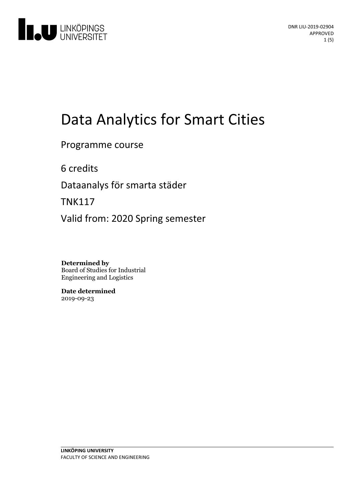

# Data Analytics for Smart Cities

# Programme course

6 credits

Dataanalys för smarta städer

TNK117

Valid from: 2020 Spring semester

**Determined by** Board of Studies for Industrial Engineering and Logistics

**Date determined** 2019-09-23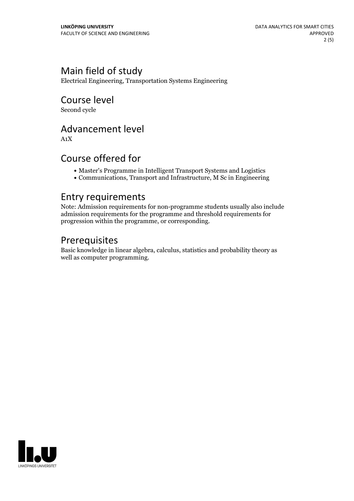# Main field of study

Electrical Engineering, Transportation Systems Engineering

Course level Second cycle

Advancement level

A1X

## Course offered for

- Master's Programme in Intelligent Transport Systems and Logistics
- Communications, Transport and Infrastructure, M Sc in Engineering

#### Entry requirements

Note: Admission requirements for non-programme students usually also include admission requirements for the programme and threshold requirements for progression within the programme, or corresponding.

### Prerequisites

Basic knowledge in linear algebra, calculus, statistics and probability theory as well as computer programming.

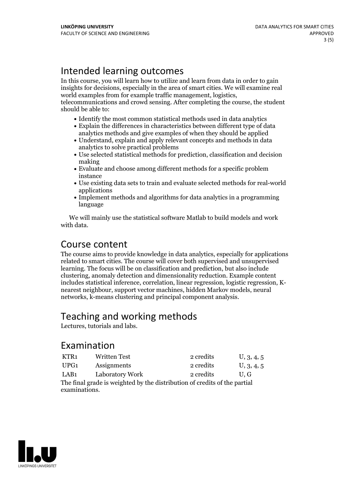# Intended learning outcomes

In this course, you will learn how to utilize and learn from data in order to gain insights for decisions, especially in the area of smart cities. We will examine real world examples from for example traffic management, logistics, telecommunications and crowd sensing. After completing the course, the student

should be able to:

- Identify the most common statistical methods used in data analytics
- Explain the differences in characteristics between different type of data analytics methods and give examples of when they should be applied
- Understand, explain and apply relevant concepts and methods in data analytics to solve practical problems
- Use selected statistical methods for prediction, classification and decision making
- Evaluate and choose among different methods for a specific problem instance
- Use existing data sets to train and evaluate selected methods for real-world applications
- Implement methods and algorithms for data analytics in a programming language

We will mainly use the statistical software Matlab to build models and work with data.

## Course content

The course aims to provide knowledge in data analytics, especially for applications related to smart cities. The course will cover both supervised and unsupervised learning. The focus will be on classification and prediction, but also include clustering, anomaly detection and dimensionality reduction. Example content includes statistical inference, correlation, linear regression, logistic regression, K- nearest neighbour, support vector machines, hidden Markov models, neural networks, k-means clustering and principal component analysis.

# Teaching and working methods

Lectures, tutorials and labs.

#### Examination

| KTR1             | <b>Written Test</b> | 2 credits | U, 3, 4, 5 |
|------------------|---------------------|-----------|------------|
| UPG1             | Assignments         | 2 credits | U, 3, 4, 5 |
| LAB <sub>1</sub> | Laboratory Work     | 2 credits | U.G        |
| $-1$ $-1$        |                     |           |            |

The final grade is weighted by the distribution of credits of the partial examinations.

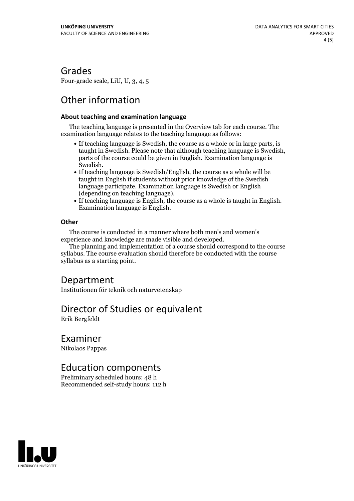### Grades

Four-grade scale, LiU, U, 3, 4, 5

# Other information

#### **About teaching and examination language**

The teaching language is presented in the Overview tab for each course. The examination language relates to the teaching language as follows:

- If teaching language is Swedish, the course as a whole or in large parts, is taught in Swedish. Please note that although teaching language is Swedish, parts of the course could be given in English. Examination language is
- Swedish.<br>• If teaching language is Swedish/English, the course as a whole will be taught in English if students without prior knowledge of the Swedish language participate. Examination language is Swedish or English
- (depending on teaching language).<br>• If teaching language is English, the course as a whole is taught in English.<br>Examination language is English.

#### **Other**

The course is conducted in a manner where both men's and women's

The planning and implementation of a course should correspond to the course syllabus. The course evaluation should therefore be conducted with the course syllabus as a starting point.

#### Department

Institutionen för teknik och naturvetenskap

#### Director of Studies or equivalent

Erik Bergfeldt

Examiner

Nikolaos Pappas

# Education components

Preliminary scheduled hours: 48 h Recommended self-study hours: 112 h